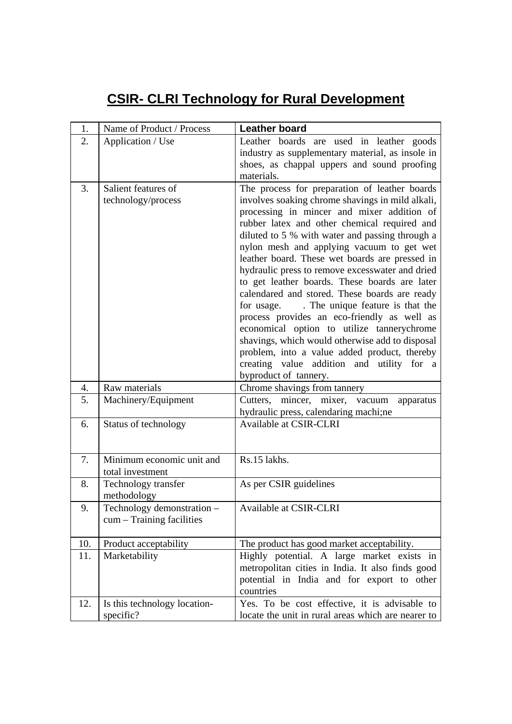## **CSIR- CLRI Technology for Rural Development**

| 1.  | Name of Product / Process    | <b>Leather board</b>                                                                         |
|-----|------------------------------|----------------------------------------------------------------------------------------------|
| 2.  | Application / Use            | Leather boards are used in leather goods                                                     |
|     |                              | industry as supplementary material, as insole in                                             |
|     |                              | shoes, as chappal uppers and sound proofing                                                  |
|     |                              | materials.                                                                                   |
| 3.  | Salient features of          | The process for preparation of leather boards                                                |
|     | technology/process           | involves soaking chrome shavings in mild alkali,                                             |
|     |                              | processing in mincer and mixer addition of                                                   |
|     |                              | rubber latex and other chemical required and                                                 |
|     |                              | diluted to 5 % with water and passing through a<br>nylon mesh and applying vacuum to get wet |
|     |                              | leather board. These wet boards are pressed in                                               |
|     |                              | hydraulic press to remove excesswater and dried                                              |
|     |                              | to get leather boards. These boards are later                                                |
|     |                              | calendared and stored. These boards are ready                                                |
|     |                              | for usage. The unique feature is that the                                                    |
|     |                              | process provides an eco-friendly as well as                                                  |
|     |                              | economical option to utilize tannerychrome                                                   |
|     |                              | shavings, which would otherwise add to disposal                                              |
|     |                              | problem, into a value added product, thereby                                                 |
|     |                              | creating value addition and utility for a<br>byproduct of tannery.                           |
| 4.  | Raw materials                | Chrome shavings from tannery                                                                 |
| 5.  | Machinery/Equipment          | Cutters, mincer, mixer, vacuum<br>apparatus                                                  |
|     |                              | hydraulic press, calendaring machi;ne                                                        |
| 6.  | Status of technology         | Available at CSIR-CLRI                                                                       |
|     |                              |                                                                                              |
|     |                              |                                                                                              |
| 7.  | Minimum economic unit and    | Rs.15 lakhs.                                                                                 |
|     | total investment             |                                                                                              |
| 8.  | Technology transfer          | As per CSIR guidelines                                                                       |
|     | methodology                  |                                                                                              |
| 9.  | Technology demonstration -   | Available at CSIR-CLRI                                                                       |
|     | $cum - Training facilities$  |                                                                                              |
| 10. | Product acceptability        | The product has good market acceptability.                                                   |
| 11. | Marketability                | Highly potential. A large market exists in                                                   |
|     |                              | metropolitan cities in India. It also finds good                                             |
|     |                              | potential in India and for export to other                                                   |
|     |                              | countries                                                                                    |
| 12. | Is this technology location- | Yes. To be cost effective, it is advisable to                                                |
|     | specific?                    | locate the unit in rural areas which are nearer to                                           |